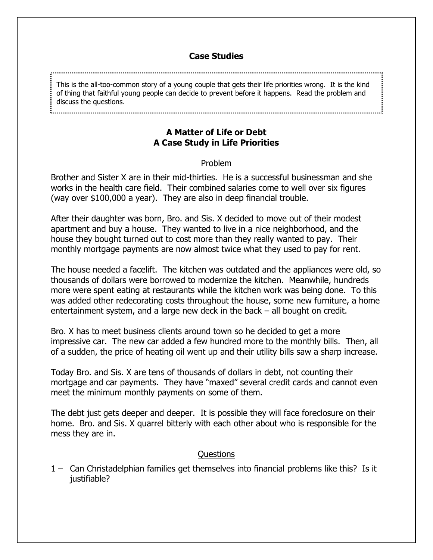## **Case Studies**

This is the all-too-common story of a young couple that gets their life priorities wrong. It is the kind of thing that faithful young people can decide to prevent before it happens. Read the problem and discuss the questions.

#### 

# **A Matter of Life or Debt A Case Study in Life Priorities**

## Problem

Brother and Sister X are in their mid-thirties. He is a successful businessman and she works in the health care field. Their combined salaries come to well over six figures (way over \$100,000 a year). They are also in deep financial trouble.

After their daughter was born, Bro. and Sis. X decided to move out of their modest apartment and buy a house. They wanted to live in a nice neighborhood, and the house they bought turned out to cost more than they really wanted to pay. Their monthly mortgage payments are now almost twice what they used to pay for rent.

The house needed a facelift. The kitchen was outdated and the appliances were old, so thousands of dollars were borrowed to modernize the kitchen. Meanwhile, hundreds more were spent eating at restaurants while the kitchen work was being done. To this was added other redecorating costs throughout the house, some new furniture, a home entertainment system, and a large new deck in the back – all bought on credit.

Bro. X has to meet business clients around town so he decided to get a more impressive car. The new car added a few hundred more to the monthly bills. Then, all of a sudden, the price of heating oil went up and their utility bills saw a sharp increase.

Today Bro. and Sis. X are tens of thousands of dollars in debt, not counting their mortgage and car payments. They have "maxed" several credit cards and cannot even meet the minimum monthly payments on some of them.

The debt just gets deeper and deeper. It is possible they will face foreclosure on their home. Bro. and Sis. X quarrel bitterly with each other about who is responsible for the mess they are in.

### Questions

1 – Can Christadelphian families get themselves into financial problems like this? Is it justifiable?